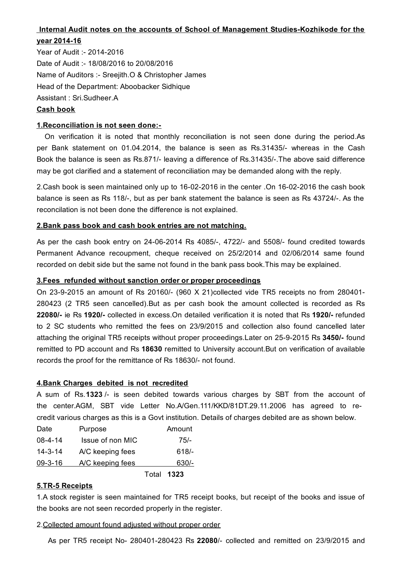# **Internal Audit notes on the accounts of School of Management Studies-Kozhikode for the**

## **year 2014-16**

Year of Audit :- 2014-2016 Date of Audit :- 18/08/2016 to 20/08/2016 Name of Auditors :- Sreejith.O & Christopher James Head of the Department: Aboobacker Sidhique Assistant : Sri.Sudheer.A **Cash book**

## **1.Reconciliation is not seen done:-**

On verification it is noted that monthly reconciliation is not seen done during the period.As per Bank statement on 01.04.2014, the balance is seen as Rs.31435/- whereas in the Cash Book the balance is seen as Rs.871/- leaving a difference of Rs.31435/-.The above said difference may be got clarified and a statement of reconciliation may be demanded along with the reply.

2.Cash book is seen maintained only up to 16-02-2016 in the center .On 16-02-2016 the cash book balance is seen as Rs 118/-, but as per bank statement the balance is seen as Rs 43724/-. As the reconcilation is not been done the difference is not explained.

### **2.Bank pass book and cash book entries are not matching.**

As per the cash book entry on 24-06-2014 Rs 4085/-, 4722/- and 5508/- found credited towards Permanent Advance recoupment, cheque received on 25/2/2014 and 02/06/2014 same found recorded on debit side but the same not found in the bank pass book.This may be explained.

## **3.Fees refunded without sanction order or proper proceedings**

On 23-9-2015 an amount of Rs 20160/- (960 X 21)collected vide TR5 receipts no from 280401- 280423 (2 TR5 seen cancelled).But as per cash book the amount collected is recorded as Rs **22080/-** ie Rs **1920/-** collected in excess.On detailed verification it is noted that Rs **1920/-** refunded to 2 SC students who remitted the fees on 23/9/2015 and collection also found cancelled later attaching the original TR5 receipts without proper proceedings.Later on 25-9-2015 Rs **3450/-** found remitted to PD account and Rs **18630** remitted to University account.But on verification of available records the proof for the remittance of Rs 18630/- not found.

### **4.Bank Charges debited is not recredited**

A sum of Rs.**1323** /- is seen debited towards various charges by SBT from the account of the center.AGM, SBT vide Letter No.A/Gen.111/KKD/81DT.29.11.2006 has agreed to recredit various charges as this is a Govt institution. Details of charges debited are as shown below.

|               |                  | <b>Total 1323</b> |         |
|---------------|------------------|-------------------|---------|
| $09 - 3 - 16$ | A/C keeping fees |                   | $630/-$ |
| $14 - 3 - 14$ | A/C keeping fees |                   | $618/-$ |
| $08 - 4 - 14$ | Issue of non MIC |                   | $75/-$  |
| Date          | Purpose          |                   | Amount  |

### **5.TR-5 Receipts**

1.A stock register is seen maintained for TR5 receipt books, but receipt of the books and issue of the books are not seen recorded properly in the register.

### 2.Collected amount found adjusted without proper order

As per TR5 receipt No- 280401-280423 Rs **22080**/- collected and remitted on 23/9/2015 and